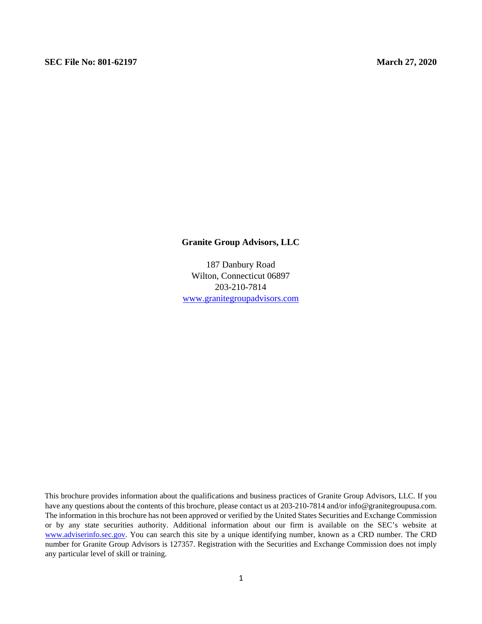#### **Granite Group Advisors, LLC**

187 Danbury Road Wilton, Connecticut 06897 203-210-7814 www.granitegroupadvisors.com

This brochure provides information about the qualifications and business practices of Granite Group Advisors, LLC. If you have any questions about the contents of this brochure, please contact us at 203-210-7814 and/or info@granitegroupusa.com. The information in this brochure has not been approved or verified by the United States Securities and Exchange Commission or by any state securities authority. Additional information about our firm is available on the SEC's website at www.adviserinfo.sec.gov. You can search this site by a unique identifying number, known as a CRD number. The CRD number for Granite Group Advisors is 127357. Registration with the Securities and Exchange Commission does not imply any particular level of skill or training.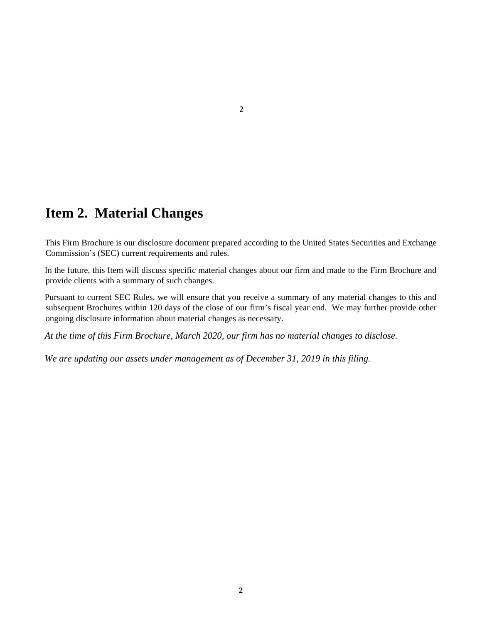# **Item 2. Material Changes**

This Firm Brochure is our disclosure document prepared according to the United States Securities and Exchange Commission's (SEC) current requirements and rules.

In the future, this Item will discuss specific material changes about our firm and made to the Firm Brochure and provide clients with a summary of such changes.

Pursuant to current SEC Rules, we will ensure that you receive a summary of any material changes to this and subsequent Brochures within 120 days of the close of our firm's fiscal year end. We may further provide other ongoing disclosure information about material changes as necessary.

*At the time of this Firm Brochure, March 2020, our firm has no material changes to disclose.* 

*We are updating our assets under management as of December 31, 2019 in this filing.*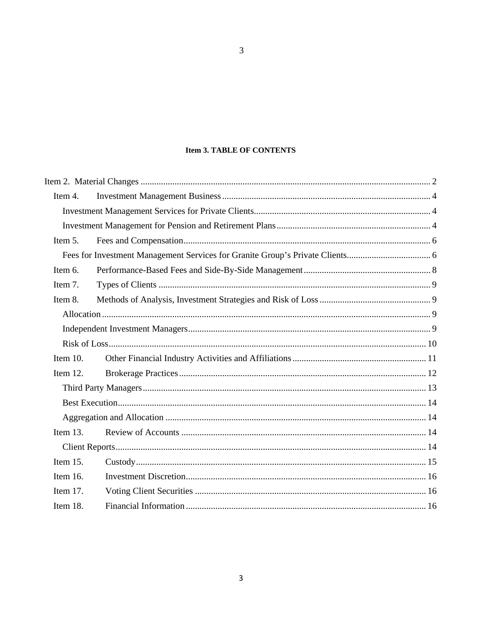#### **Item 3. TABLE OF CONTENTS**

 $\overline{3}$ 

| Item 4.     |  |  |
|-------------|--|--|
|             |  |  |
|             |  |  |
| Item 5.     |  |  |
|             |  |  |
| Item 6.     |  |  |
| Item 7.     |  |  |
| Item 8.     |  |  |
|             |  |  |
|             |  |  |
|             |  |  |
| Item $10$ . |  |  |
| Item $12$ . |  |  |
|             |  |  |
|             |  |  |
|             |  |  |
| Item $13$ . |  |  |
|             |  |  |
| Item 15.    |  |  |
| Item 16.    |  |  |
| Item 17.    |  |  |
| Item 18.    |  |  |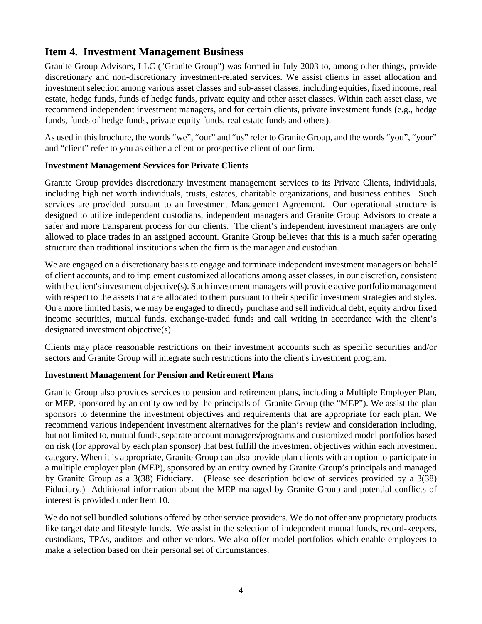### **Item 4. Investment Management Business**

Granite Group Advisors, LLC ("Granite Group") was formed in July 2003 to, among other things, provide discretionary and non-discretionary investment-related services. We assist clients in asset allocation and investment selection among various asset classes and sub-asset classes, including equities, fixed income, real estate, hedge funds, funds of hedge funds, private equity and other asset classes. Within each asset class, we recommend independent investment managers, and for certain clients, private investment funds (e.g., hedge funds, funds of hedge funds, private equity funds, real estate funds and others).

As used in this brochure, the words "we", "our" and "us" refer to Granite Group, and the words "you", "your" and "client" refer to you as either a client or prospective client of our firm.

#### **Investment Management Services for Private Clients**

Granite Group provides discretionary investment management services to its Private Clients, individuals, including high net worth individuals, trusts, estates, charitable organizations, and business entities. Such services are provided pursuant to an Investment Management Agreement. Our operational structure is designed to utilize independent custodians, independent managers and Granite Group Advisors to create a safer and more transparent process for our clients. The client's independent investment managers are only allowed to place trades in an assigned account. Granite Group believes that this is a much safer operating structure than traditional institutions when the firm is the manager and custodian.

We are engaged on a discretionary basis to engage and terminate independent investment managers on behalf of client accounts, and to implement customized allocations among asset classes, in our discretion, consistent with the client's investment objective(s). Such investment managers will provide active portfolio management with respect to the assets that are allocated to them pursuant to their specific investment strategies and styles. On a more limited basis, we may be engaged to directly purchase and sell individual debt, equity and/or fixed income securities, mutual funds, exchange-traded funds and call writing in accordance with the client's designated investment objective(s).

Clients may place reasonable restrictions on their investment accounts such as specific securities and/or sectors and Granite Group will integrate such restrictions into the client's investment program.

#### **Investment Management for Pension and Retirement Plans**

Granite Group also provides services to pension and retirement plans, including a Multiple Employer Plan, or MEP, sponsored by an entity owned by the principals of Granite Group (the "MEP"). We assist the plan sponsors to determine the investment objectives and requirements that are appropriate for each plan. We recommend various independent investment alternatives for the plan's review and consideration including, but not limited to, mutual funds, separate account managers/programs and customized model portfolios based on risk (for approval by each plan sponsor) that best fulfill the investment objectives within each investment category. When it is appropriate, Granite Group can also provide plan clients with an option to participate in a multiple employer plan (MEP), sponsored by an entity owned by Granite Group's principals and managed by Granite Group as a 3(38) Fiduciary. (Please see description below of services provided by a 3(38) Fiduciary.) Additional information about the MEP managed by Granite Group and potential conflicts of interest is provided under Item 10.

We do not sell bundled solutions offered by other service providers. We do not offer any proprietary products like target date and lifestyle funds. We assist in the selection of independent mutual funds, record-keepers, custodians, TPAs, auditors and other vendors. We also offer model portfolios which enable employees to make a selection based on their personal set of circumstances.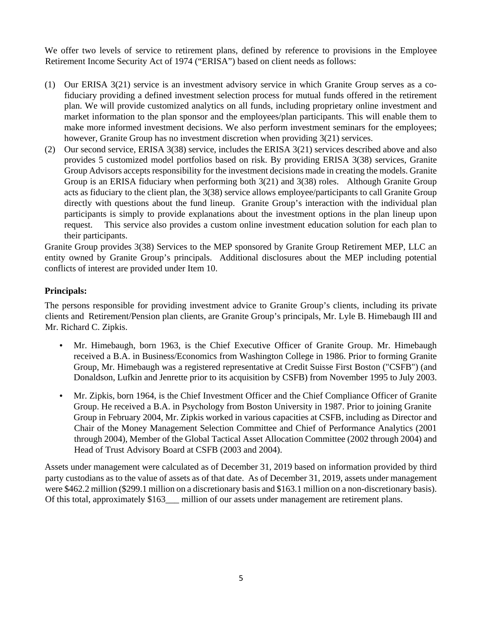We offer two levels of service to retirement plans, defined by reference to provisions in the Employee Retirement Income Security Act of 1974 ("ERISA") based on client needs as follows:

- (1) Our ERISA 3(21) service is an investment advisory service in which Granite Group serves as a cofiduciary providing a defined investment selection process for mutual funds offered in the retirement plan. We will provide customized analytics on all funds, including proprietary online investment and market information to the plan sponsor and the employees/plan participants. This will enable them to make more informed investment decisions. We also perform investment seminars for the employees; however, Granite Group has no investment discretion when providing 3(21) services.
- (2) Our second service, ERISA 3(38) service, includes the ERISA 3(21) services described above and also provides 5 customized model portfolios based on risk. By providing ERISA 3(38) services, Granite Group Advisors accepts responsibility for the investment decisions made in creating the models. Granite Group is an ERISA fiduciary when performing both 3(21) and 3(38) roles. Although Granite Group acts as fiduciary to the client plan, the 3(38) service allows employee/participants to call Granite Group directly with questions about the fund lineup. Granite Group's interaction with the individual plan participants is simply to provide explanations about the investment options in the plan lineup upon request. This service also provides a custom online investment education solution for each plan to their participants.

Granite Group provides 3(38) Services to the MEP sponsored by Granite Group Retirement MEP, LLC an entity owned by Granite Group's principals. Additional disclosures about the MEP including potential conflicts of interest are provided under Item 10.

#### **Principals:**

The persons responsible for providing investment advice to Granite Group's clients, including its private clients and Retirement/Pension plan clients, are Granite Group's principals, Mr. Lyle B. Himebaugh III and Mr. Richard C. Zipkis.

- Mr. Himebaugh, born 1963, is the Chief Executive Officer of Granite Group. Mr. Himebaugh received a B.A. in Business/Economics from Washington College in 1986. Prior to forming Granite Group, Mr. Himebaugh was a registered representative at Credit Suisse First Boston ("CSFB") (and Donaldson, Lufkin and Jenrette prior to its acquisition by CSFB) from November 1995 to July 2003.
- Mr. Zipkis, born 1964, is the Chief Investment Officer and the Chief Compliance Officer of Granite Group. He received a B.A. in Psychology from Boston University in 1987. Prior to joining Granite Group in February 2004, Mr. Zipkis worked in various capacities at CSFB, including as Director and Chair of the Money Management Selection Committee and Chief of Performance Analytics (2001 through 2004), Member of the Global Tactical Asset Allocation Committee (2002 through 2004) and Head of Trust Advisory Board at CSFB (2003 and 2004).

Assets under management were calculated as of December 31, 2019 based on information provided by third party custodians as to the value of assets as of that date. As of December 31, 2019, assets under management were \$462.2 million (\$299.1 million on a discretionary basis and \$163.1 million on a non-discretionary basis). Of this total, approximately \$163\_\_ million of our assets under management are retirement plans.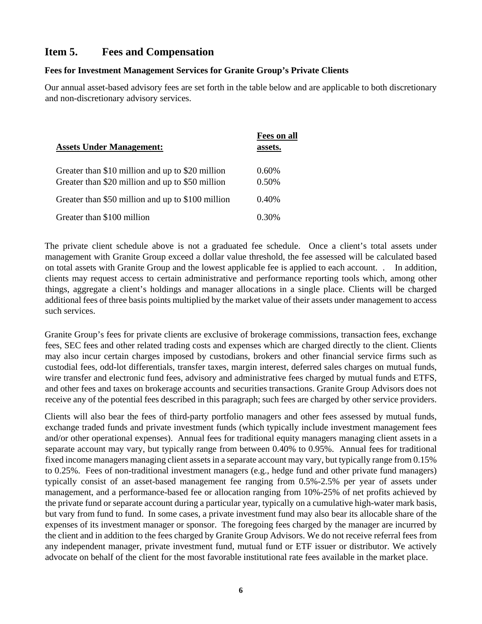### **Item 5. Fees and Compensation**

#### **Fees for Investment Management Services for Granite Group's Private Clients**

Our annual asset-based advisory fees are set forth in the table below and are applicable to both discretionary and non-discretionary advisory services.

| <b>Assets Under Management:</b>                                                                      | <b>Fees on all</b><br>assets. |
|------------------------------------------------------------------------------------------------------|-------------------------------|
| Greater than \$10 million and up to \$20 million<br>Greater than \$20 million and up to \$50 million | $0.60\%$<br>0.50%             |
| Greater than \$50 million and up to \$100 million                                                    | $0.40\%$                      |
| Greater than \$100 million                                                                           | U 30%                         |

The private client schedule above is not a graduated fee schedule. Once a client's total assets under management with Granite Group exceed a dollar value threshold, the fee assessed will be calculated based on total assets with Granite Group and the lowest applicable fee is applied to each account. . In addition, clients may request access to certain administrative and performance reporting tools which, among other things, aggregate a client's holdings and manager allocations in a single place. Clients will be charged additional fees of three basis points multiplied by the market value of their assets under management to access such services.

Granite Group's fees for private clients are exclusive of brokerage commissions, transaction fees, exchange fees, SEC fees and other related trading costs and expenses which are charged directly to the client. Clients may also incur certain charges imposed by custodians, brokers and other financial service firms such as custodial fees, odd-lot differentials, transfer taxes, margin interest, deferred sales charges on mutual funds, wire transfer and electronic fund fees, advisory and administrative fees charged by mutual funds and ETFS, and other fees and taxes on brokerage accounts and securities transactions. Granite Group Advisors does not receive any of the potential fees described in this paragraph; such fees are charged by other service providers.

Clients will also bear the fees of third-party portfolio managers and other fees assessed by mutual funds, exchange traded funds and private investment funds (which typically include investment management fees and/or other operational expenses). Annual fees for traditional equity managers managing client assets in a separate account may vary, but typically range from between 0.40% to 0.95%. Annual fees for traditional fixed income managers managing client assets in a separate account may vary, but typically range from 0.15% to 0.25%. Fees of non-traditional investment managers (e.g., hedge fund and other private fund managers) typically consist of an asset-based management fee ranging from 0.5%-2.5% per year of assets under management, and a performance-based fee or allocation ranging from 10%-25% of net profits achieved by the private fund or separate account during a particular year, typically on a cumulative high-water mark basis, but vary from fund to fund. In some cases, a private investment fund may also bear its allocable share of the expenses of its investment manager or sponsor. The foregoing fees charged by the manager are incurred by the client and in addition to the fees charged by Granite Group Advisors. We do not receive referral fees from any independent manager, private investment fund, mutual fund or ETF issuer or distributor. We actively advocate on behalf of the client for the most favorable institutional rate fees available in the market place.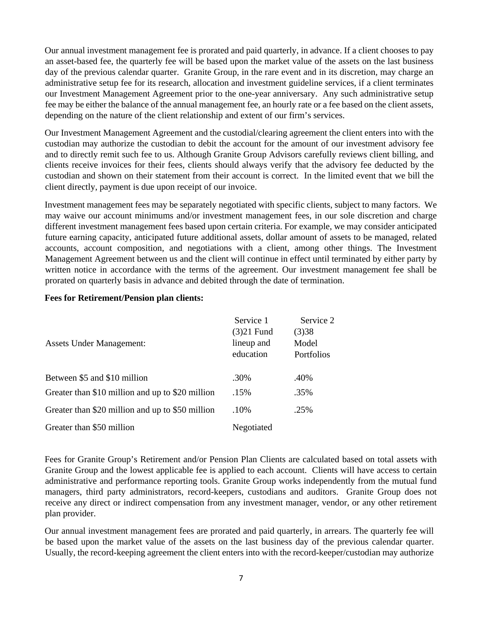Our annual investment management fee is prorated and paid quarterly, in advance. If a client chooses to pay an asset-based fee, the quarterly fee will be based upon the market value of the assets on the last business day of the previous calendar quarter. Granite Group, in the rare event and in its discretion, may charge an administrative setup fee for its research, allocation and investment guideline services, if a client terminates our Investment Management Agreement prior to the one-year anniversary. Any such administrative setup fee may be either the balance of the annual management fee, an hourly rate or a fee based on the client assets, depending on the nature of the client relationship and extent of our firm's services.

Our Investment Management Agreement and the custodial/clearing agreement the client enters into with the custodian may authorize the custodian to debit the account for the amount of our investment advisory fee and to directly remit such fee to us. Although Granite Group Advisors carefully reviews client billing, and clients receive invoices for their fees, clients should always verify that the advisory fee deducted by the custodian and shown on their statement from their account is correct. In the limited event that we bill the client directly, payment is due upon receipt of our invoice.

Investment management fees may be separately negotiated with specific clients, subject to many factors. We may waive our account minimums and/or investment management fees, in our sole discretion and charge different investment management fees based upon certain criteria. For example, we may consider anticipated future earning capacity, anticipated future additional assets, dollar amount of assets to be managed, related accounts, account composition, and negotiations with a client, among other things. The Investment Management Agreement between us and the client will continue in effect until terminated by either party by written notice in accordance with the terms of the agreement. Our investment management fee shall be prorated on quarterly basis in advance and debited through the date of termination.

#### **Fees for Retirement/Pension plan clients:**

|                                                  | Service 1    | Service 2         |
|--------------------------------------------------|--------------|-------------------|
|                                                  | $(3)21$ Fund | (3)38             |
| <b>Assets Under Management:</b>                  | lineup and   | Model             |
|                                                  | education    | <b>Portfolios</b> |
|                                                  |              |                   |
| Between \$5 and \$10 million                     | .30%         | .40%              |
| Greater than \$10 million and up to \$20 million | .15%         | .35%              |
| Greater than \$20 million and up to \$50 million | .10%         | .25%              |
| Greater than \$50 million                        | Negotiated   |                   |

Fees for Granite Group's Retirement and/or Pension Plan Clients are calculated based on total assets with Granite Group and the lowest applicable fee is applied to each account. Clients will have access to certain administrative and performance reporting tools. Granite Group works independently from the mutual fund managers, third party administrators, record-keepers, custodians and auditors. Granite Group does not receive any direct or indirect compensation from any investment manager, vendor, or any other retirement plan provider.

Our annual investment management fees are prorated and paid quarterly, in arrears. The quarterly fee will be based upon the market value of the assets on the last business day of the previous calendar quarter. Usually, the record-keeping agreement the client enters into with the record-keeper/custodian may authorize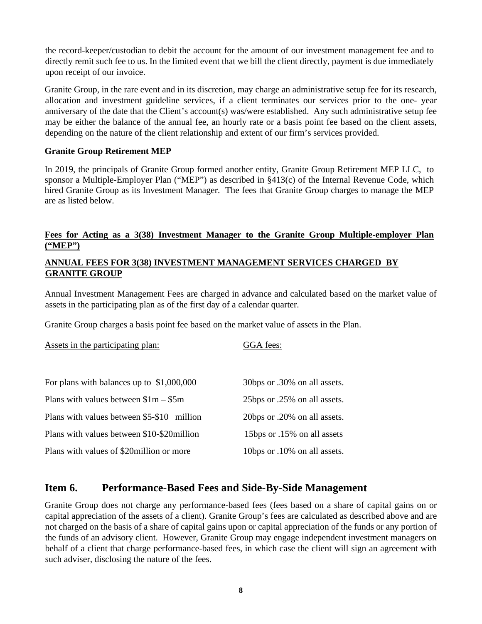the record-keeper/custodian to debit the account for the amount of our investment management fee and to directly remit such fee to us. In the limited event that we bill the client directly, payment is due immediately upon receipt of our invoice.

Granite Group, in the rare event and in its discretion, may charge an administrative setup fee for its research, allocation and investment guideline services, if a client terminates our services prior to the one- year anniversary of the date that the Client's account(s) was/were established. Any such administrative setup fee may be either the balance of the annual fee, an hourly rate or a basis point fee based on the client assets, depending on the nature of the client relationship and extent of our firm's services provided.

#### **Granite Group Retirement MEP**

In 2019, the principals of Granite Group formed another entity, Granite Group Retirement MEP LLC, to sponsor a Multiple-Employer Plan ("MEP") as described in §413(c) of the Internal Revenue Code, which hired Granite Group as its Investment Manager. The fees that Granite Group charges to manage the MEP are as listed below.

#### **Fees for Acting as a 3(38) Investment Manager to the Granite Group Multiple-employer Plan ("MEP")**

#### **ANNUAL FEES FOR 3(38) INVESTMENT MANAGEMENT SERVICES CHARGED BY GRANITE GROUP**

Annual Investment Management Fees are charged in advance and calculated based on the market value of assets in the participating plan as of the first day of a calendar quarter.

Granite Group charges a basis point fee based on the market value of assets in the Plan.

| Assets in the participating plan:           | GGA fees:                    |
|---------------------------------------------|------------------------------|
| For plans with balances up to $$1,000,000$  | 30bps or .30% on all assets. |
| Plans with values between $$1m - $5m$       | 25bps or .25% on all assets. |
| Plans with values between \$5-\$10 million  | 20bps or .20% on all assets. |
| Plans with values between \$10-\$20 million | 15bps or .15% on all assets  |
| Plans with values of \$20 million or more   | 10bps or .10% on all assets. |

#### **Item 6. Performance-Based Fees and Side-By-Side Management**

Granite Group does not charge any performance-based fees (fees based on a share of capital gains on or capital appreciation of the assets of a client). Granite Group's fees are calculated as described above and are not charged on the basis of a share of capital gains upon or capital appreciation of the funds or any portion of the funds of an advisory client. However, Granite Group may engage independent investment managers on behalf of a client that charge performance-based fees, in which case the client will sign an agreement with such adviser, disclosing the nature of the fees.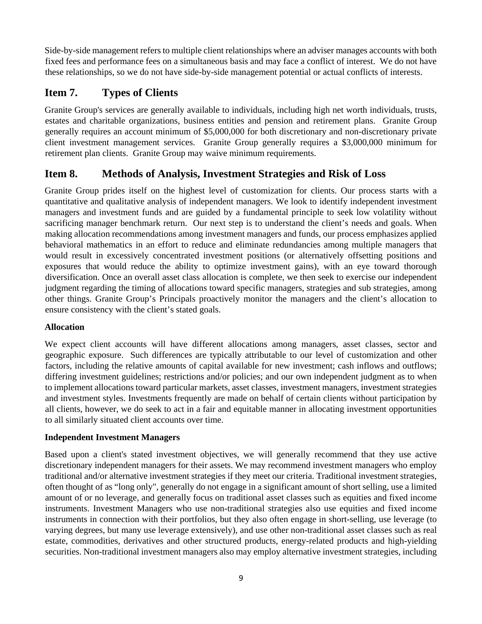Side-by-side management refers to multiple client relationships where an adviser manages accounts with both fixed fees and performance fees on a simultaneous basis and may face a conflict of interest. We do not have these relationships, so we do not have side-by-side management potential or actual conflicts of interests.

## **Item 7. Types of Clients**

Granite Group's services are generally available to individuals, including high net worth individuals, trusts, estates and charitable organizations, business entities and pension and retirement plans. Granite Group generally requires an account minimum of \$5,000,000 for both discretionary and non-discretionary private client investment management services. Granite Group generally requires a \$3,000,000 minimum for retirement plan clients. Granite Group may waive minimum requirements.

### **Item 8. Methods of Analysis, Investment Strategies and Risk of Loss**

Granite Group prides itself on the highest level of customization for clients. Our process starts with a quantitative and qualitative analysis of independent managers. We look to identify independent investment managers and investment funds and are guided by a fundamental principle to seek low volatility without sacrificing manager benchmark return. Our next step is to understand the client's needs and goals. When making allocation recommendations among investment managers and funds, our process emphasizes applied behavioral mathematics in an effort to reduce and eliminate redundancies among multiple managers that would result in excessively concentrated investment positions (or alternatively offsetting positions and exposures that would reduce the ability to optimize investment gains), with an eye toward thorough diversification. Once an overall asset class allocation is complete, we then seek to exercise our independent judgment regarding the timing of allocations toward specific managers, strategies and sub strategies, among other things. Granite Group's Principals proactively monitor the managers and the client's allocation to ensure consistency with the client's stated goals.

#### **Allocation**

We expect client accounts will have different allocations among managers, asset classes, sector and geographic exposure. Such differences are typically attributable to our level of customization and other factors, including the relative amounts of capital available for new investment; cash inflows and outflows; differing investment guidelines; restrictions and/or policies; and our own independent judgment as to when to implement allocations toward particular markets, asset classes, investment managers, investment strategies and investment styles. Investments frequently are made on behalf of certain clients without participation by all clients, however, we do seek to act in a fair and equitable manner in allocating investment opportunities to all similarly situated client accounts over time.

#### **Independent Investment Managers**

Based upon a client's stated investment objectives, we will generally recommend that they use active discretionary independent managers for their assets. We may recommend investment managers who employ traditional and/or alternative investment strategies if they meet our criteria. Traditional investment strategies, often thought of as "long only", generally do not engage in a significant amount of short selling, use a limited amount of or no leverage, and generally focus on traditional asset classes such as equities and fixed income instruments. Investment Managers who use non-traditional strategies also use equities and fixed income instruments in connection with their portfolios, but they also often engage in short-selling, use leverage (to varying degrees, but many use leverage extensively), and use other non-traditional asset classes such as real estate, commodities, derivatives and other structured products, energy-related products and high-yielding securities. Non-traditional investment managers also may employ alternative investment strategies, including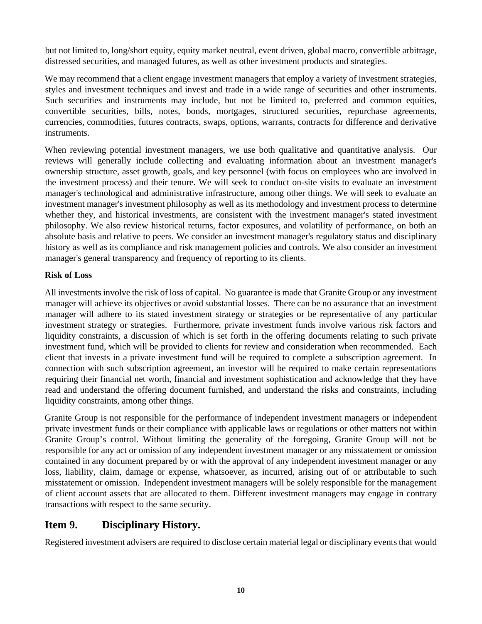but not limited to, long/short equity, equity market neutral, event driven, global macro, convertible arbitrage, distressed securities, and managed futures, as well as other investment products and strategies.

We may recommend that a client engage investment managers that employ a variety of investment strategies, styles and investment techniques and invest and trade in a wide range of securities and other instruments. Such securities and instruments may include, but not be limited to, preferred and common equities, convertible securities, bills, notes, bonds, mortgages, structured securities, repurchase agreements, currencies, commodities, futures contracts, swaps, options, warrants, contracts for difference and derivative instruments.

When reviewing potential investment managers, we use both qualitative and quantitative analysis. Our reviews will generally include collecting and evaluating information about an investment manager's ownership structure, asset growth, goals, and key personnel (with focus on employees who are involved in the investment process) and their tenure. We will seek to conduct on-site visits to evaluate an investment manager's technological and administrative infrastructure, among other things. We will seek to evaluate an investment manager's investment philosophy as well as its methodology and investment process to determine whether they, and historical investments, are consistent with the investment manager's stated investment philosophy. We also review historical returns, factor exposures, and volatility of performance, on both an absolute basis and relative to peers. We consider an investment manager's regulatory status and disciplinary history as well as its compliance and risk management policies and controls. We also consider an investment manager's general transparency and frequency of reporting to its clients.

#### **Risk of Loss**

All investments involve the risk of loss of capital. No guarantee is made that Granite Group or any investment manager will achieve its objectives or avoid substantial losses. There can be no assurance that an investment manager will adhere to its stated investment strategy or strategies or be representative of any particular investment strategy or strategies. Furthermore, private investment funds involve various risk factors and liquidity constraints, a discussion of which is set forth in the offering documents relating to such private investment fund, which will be provided to clients for review and consideration when recommended. Each client that invests in a private investment fund will be required to complete a subscription agreement. In connection with such subscription agreement, an investor will be required to make certain representations requiring their financial net worth, financial and investment sophistication and acknowledge that they have read and understand the offering document furnished, and understand the risks and constraints, including liquidity constraints, among other things.

Granite Group is not responsible for the performance of independent investment managers or independent private investment funds or their compliance with applicable laws or regulations or other matters not within Granite Group's control. Without limiting the generality of the foregoing, Granite Group will not be responsible for any act or omission of any independent investment manager or any misstatement or omission contained in any document prepared by or with the approval of any independent investment manager or any loss, liability, claim, damage or expense, whatsoever, as incurred, arising out of or attributable to such misstatement or omission. Independent investment managers will be solely responsible for the management of client account assets that are allocated to them. Different investment managers may engage in contrary transactions with respect to the same security.

### **Item 9. Disciplinary History.**

Registered investment advisers are required to disclose certain material legal or disciplinary events that would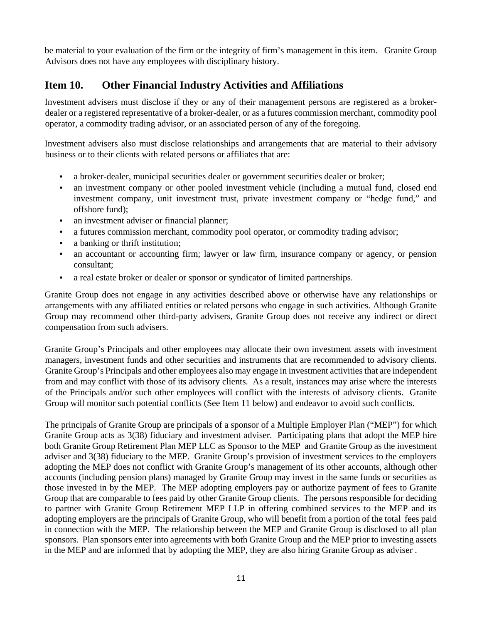be material to your evaluation of the firm or the integrity of firm's management in this item. Granite Group Advisors does not have any employees with disciplinary history.

### **Item 10. Other Financial Industry Activities and Affiliations**

Investment advisers must disclose if they or any of their management persons are registered as a brokerdealer or a registered representative of a broker-dealer, or as a futures commission merchant, commodity pool operator, a commodity trading advisor, or an associated person of any of the foregoing.

Investment advisers also must disclose relationships and arrangements that are material to their advisory business or to their clients with related persons or affiliates that are:

- a broker-dealer, municipal securities dealer or government securities dealer or broker;
- an investment company or other pooled investment vehicle (including a mutual fund, closed end investment company, unit investment trust, private investment company or "hedge fund," and offshore fund);
- an investment adviser or financial planner;
- a futures commission merchant, commodity pool operator, or commodity trading advisor;
- a banking or thrift institution;
- an accountant or accounting firm; lawyer or law firm, insurance company or agency, or pension consultant;
- a real estate broker or dealer or sponsor or syndicator of limited partnerships.

Granite Group does not engage in any activities described above or otherwise have any relationships or arrangements with any affiliated entities or related persons who engage in such activities. Although Granite Group may recommend other third-party advisers, Granite Group does not receive any indirect or direct compensation from such advisers.

Granite Group's Principals and other employees may allocate their own investment assets with investment managers, investment funds and other securities and instruments that are recommended to advisory clients. Granite Group's Principals and other employees also may engage in investment activities that are independent from and may conflict with those of its advisory clients. As a result, instances may arise where the interests of the Principals and/or such other employees will conflict with the interests of advisory clients. Granite Group will monitor such potential conflicts (See Item 11 below) and endeavor to avoid such conflicts.

The principals of Granite Group are principals of a sponsor of a Multiple Employer Plan ("MEP") for which Granite Group acts as 3(38) fiduciary and investment adviser. Participating plans that adopt the MEP hire both Granite Group Retirement Plan MEP LLC as Sponsor to the MEP and Granite Group as the investment adviser and 3(38) fiduciary to the MEP. Granite Group's provision of investment services to the employers adopting the MEP does not conflict with Granite Group's management of its other accounts, although other accounts (including pension plans) managed by Granite Group may invest in the same funds or securities as those invested in by the MEP. The MEP adopting employers pay or authorize payment of fees to Granite Group that are comparable to fees paid by other Granite Group clients. The persons responsible for deciding to partner with Granite Group Retirement MEP LLP in offering combined services to the MEP and its adopting employers are the principals of Granite Group, who will benefit from a portion of the total fees paid in connection with the MEP. The relationship between the MEP and Granite Group is disclosed to all plan sponsors. Plan sponsors enter into agreements with both Granite Group and the MEP prior to investing assets in the MEP and are informed that by adopting the MEP, they are also hiring Granite Group as adviser .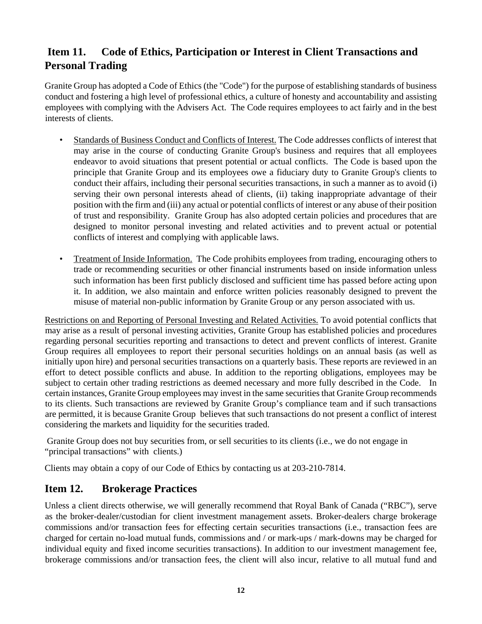## **Item 11. Code of Ethics, Participation or Interest in Client Transactions and Personal Trading**

Granite Group has adopted a Code of Ethics (the "Code") for the purpose of establishing standards of business conduct and fostering a high level of professional ethics, a culture of honesty and accountability and assisting employees with complying with the Advisers Act. The Code requires employees to act fairly and in the best interests of clients.

- Standards of Business Conduct and Conflicts of Interest. The Code addresses conflicts of interest that may arise in the course of conducting Granite Group's business and requires that all employees endeavor to avoid situations that present potential or actual conflicts. The Code is based upon the principle that Granite Group and its employees owe a fiduciary duty to Granite Group's clients to conduct their affairs, including their personal securities transactions, in such a manner as to avoid (i) serving their own personal interests ahead of clients, (ii) taking inappropriate advantage of their position with the firm and (iii) any actual or potential conflicts of interest or any abuse of their position of trust and responsibility. Granite Group has also adopted certain policies and procedures that are designed to monitor personal investing and related activities and to prevent actual or potential conflicts of interest and complying with applicable laws.
- Treatment of Inside Information. The Code prohibits employees from trading, encouraging others to trade or recommending securities or other financial instruments based on inside information unless such information has been first publicly disclosed and sufficient time has passed before acting upon it. In addition, we also maintain and enforce written policies reasonably designed to prevent the misuse of material non-public information by Granite Group or any person associated with us.

Restrictions on and Reporting of Personal Investing and Related Activities. To avoid potential conflicts that may arise as a result of personal investing activities, Granite Group has established policies and procedures regarding personal securities reporting and transactions to detect and prevent conflicts of interest. Granite Group requires all employees to report their personal securities holdings on an annual basis (as well as initially upon hire) and personal securities transactions on a quarterly basis. These reports are reviewed in an effort to detect possible conflicts and abuse. In addition to the reporting obligations, employees may be subject to certain other trading restrictions as deemed necessary and more fully described in the Code. In certain instances, Granite Group employees may invest in the same securities that Granite Group recommends to its clients. Such transactions are reviewed by Granite Group's compliance team and if such transactions are permitted, it is because Granite Group believes that such transactions do not present a conflict of interest considering the markets and liquidity for the securities traded.

 Granite Group does not buy securities from, or sell securities to its clients (i.e., we do not engage in "principal transactions" with clients.)

Clients may obtain a copy of our Code of Ethics by contacting us at 203-210-7814.

## **Item 12. Brokerage Practices**

Unless a client directs otherwise, we will generally recommend that Royal Bank of Canada ("RBC"), serve as the broker-dealer/custodian for client investment management assets. Broker-dealers charge brokerage commissions and/or transaction fees for effecting certain securities transactions (i.e., transaction fees are charged for certain no-load mutual funds, commissions and / or mark-ups / mark-downs may be charged for individual equity and fixed income securities transactions). In addition to our investment management fee, brokerage commissions and/or transaction fees, the client will also incur, relative to all mutual fund and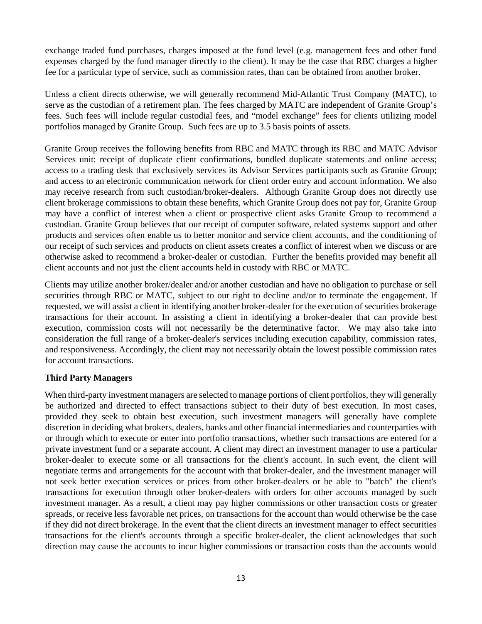exchange traded fund purchases, charges imposed at the fund level (e.g. management fees and other fund expenses charged by the fund manager directly to the client). It may be the case that RBC charges a higher fee for a particular type of service, such as commission rates, than can be obtained from another broker.

Unless a client directs otherwise, we will generally recommend Mid-Atlantic Trust Company (MATC), to serve as the custodian of a retirement plan. The fees charged by MATC are independent of Granite Group's fees. Such fees will include regular custodial fees, and "model exchange" fees for clients utilizing model portfolios managed by Granite Group. Such fees are up to 3.5 basis points of assets.

Granite Group receives the following benefits from RBC and MATC through its RBC and MATC Advisor Services unit: receipt of duplicate client confirmations, bundled duplicate statements and online access; access to a trading desk that exclusively services its Advisor Services participants such as Granite Group; and access to an electronic communication network for client order entry and account information. We also may receive research from such custodian/broker-dealers. Although Granite Group does not directly use client brokerage commissions to obtain these benefits, which Granite Group does not pay for, Granite Group may have a conflict of interest when a client or prospective client asks Granite Group to recommend a custodian. Granite Group believes that our receipt of computer software, related systems support and other products and services often enable us to better monitor and service client accounts, and the conditioning of our receipt of such services and products on client assets creates a conflict of interest when we discuss or are otherwise asked to recommend a broker-dealer or custodian. Further the benefits provided may benefit all client accounts and not just the client accounts held in custody with RBC or MATC.

Clients may utilize another broker/dealer and/or another custodian and have no obligation to purchase or sell securities through RBC or MATC, subject to our right to decline and/or to terminate the engagement. If requested, we will assist a client in identifying another broker-dealer for the execution of securities brokerage transactions for their account. In assisting a client in identifying a broker-dealer that can provide best execution, commission costs will not necessarily be the determinative factor. We may also take into consideration the full range of a broker-dealer's services including execution capability, commission rates, and responsiveness. Accordingly, the client may not necessarily obtain the lowest possible commission rates for account transactions.

#### **Third Party Managers**

When third-party investment managers are selected to manage portions of client portfolios, they will generally be authorized and directed to effect transactions subject to their duty of best execution. In most cases, provided they seek to obtain best execution, such investment managers will generally have complete discretion in deciding what brokers, dealers, banks and other financial intermediaries and counterparties with or through which to execute or enter into portfolio transactions, whether such transactions are entered for a private investment fund or a separate account. A client may direct an investment manager to use a particular broker-dealer to execute some or all transactions for the client's account. In such event, the client will negotiate terms and arrangements for the account with that broker-dealer, and the investment manager will not seek better execution services or prices from other broker-dealers or be able to "batch" the client's transactions for execution through other broker-dealers with orders for other accounts managed by such investment manager. As a result, a client may pay higher commissions or other transaction costs or greater spreads, or receive less favorable net prices, on transactions for the account than would otherwise be the case if they did not direct brokerage. In the event that the client directs an investment manager to effect securities transactions for the client's accounts through a specific broker-dealer, the client acknowledges that such direction may cause the accounts to incur higher commissions or transaction costs than the accounts would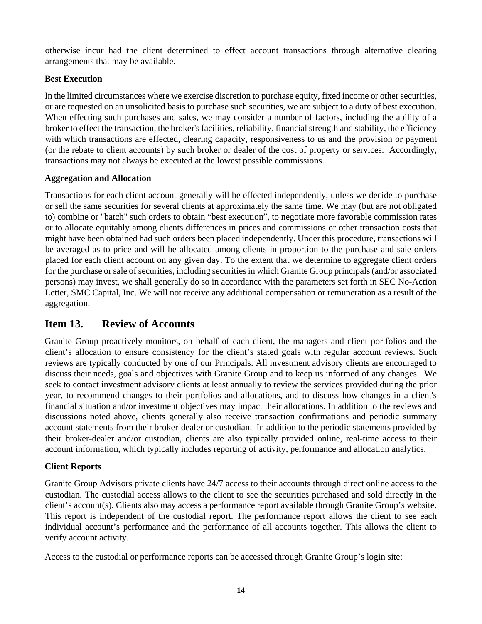otherwise incur had the client determined to effect account transactions through alternative clearing arrangements that may be available.

#### **Best Execution**

In the limited circumstances where we exercise discretion to purchase equity, fixed income or other securities, or are requested on an unsolicited basis to purchase such securities, we are subject to a duty of best execution. When effecting such purchases and sales, we may consider a number of factors, including the ability of a broker to effect the transaction, the broker's facilities, reliability, financial strength and stability, the efficiency with which transactions are effected, clearing capacity, responsiveness to us and the provision or payment (or the rebate to client accounts) by such broker or dealer of the cost of property or services. Accordingly, transactions may not always be executed at the lowest possible commissions.

#### **Aggregation and Allocation**

Transactions for each client account generally will be effected independently, unless we decide to purchase or sell the same securities for several clients at approximately the same time. We may (but are not obligated to) combine or "batch" such orders to obtain "best execution", to negotiate more favorable commission rates or to allocate equitably among clients differences in prices and commissions or other transaction costs that might have been obtained had such orders been placed independently. Under this procedure, transactions will be averaged as to price and will be allocated among clients in proportion to the purchase and sale orders placed for each client account on any given day. To the extent that we determine to aggregate client orders for the purchase or sale of securities, including securities in which Granite Group principals (and/or associated persons) may invest, we shall generally do so in accordance with the parameters set forth in SEC No-Action Letter, SMC Capital, Inc. We will not receive any additional compensation or remuneration as a result of the aggregation.

## **Item 13. Review of Accounts**

Granite Group proactively monitors, on behalf of each client, the managers and client portfolios and the client's allocation to ensure consistency for the client's stated goals with regular account reviews. Such reviews are typically conducted by one of our Principals. All investment advisory clients are encouraged to discuss their needs, goals and objectives with Granite Group and to keep us informed of any changes. We seek to contact investment advisory clients at least annually to review the services provided during the prior year, to recommend changes to their portfolios and allocations, and to discuss how changes in a client's financial situation and/or investment objectives may impact their allocations. In addition to the reviews and discussions noted above, clients generally also receive transaction confirmations and periodic summary account statements from their broker-dealer or custodian. In addition to the periodic statements provided by their broker-dealer and/or custodian, clients are also typically provided online, real-time access to their account information, which typically includes reporting of activity, performance and allocation analytics.

### **Client Reports**

Granite Group Advisors private clients have 24/7 access to their accounts through direct online access to the custodian. The custodial access allows to the client to see the securities purchased and sold directly in the client's account(s). Clients also may access a performance report available through Granite Group's website. This report is independent of the custodial report. The performance report allows the client to see each individual account's performance and the performance of all accounts together. This allows the client to verify account activity.

Access to the custodial or performance reports can be accessed through Granite Group's login site: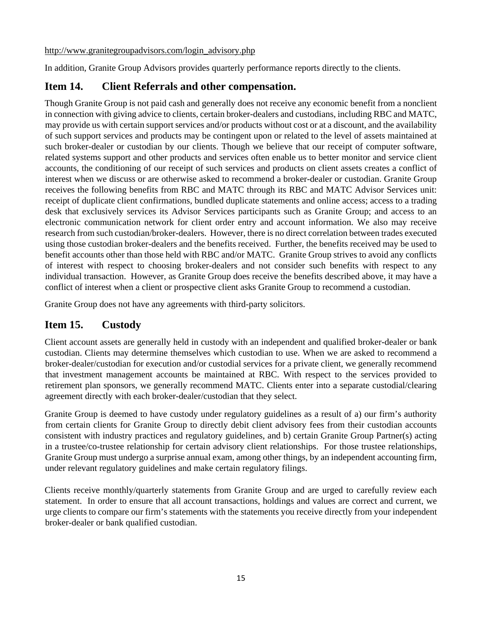http://www.granitegroupadvisors.com/login\_advisory.php

In addition, Granite Group Advisors provides quarterly performance reports directly to the clients.

## **Item 14. Client Referrals and other compensation.**

Though Granite Group is not paid cash and generally does not receive any economic benefit from a nonclient in connection with giving advice to clients, certain broker-dealers and custodians, including RBC and MATC, may provide us with certain support services and/or products without cost or at a discount, and the availability of such support services and products may be contingent upon or related to the level of assets maintained at such broker-dealer or custodian by our clients. Though we believe that our receipt of computer software, related systems support and other products and services often enable us to better monitor and service client accounts, the conditioning of our receipt of such services and products on client assets creates a conflict of interest when we discuss or are otherwise asked to recommend a broker-dealer or custodian. Granite Group receives the following benefits from RBC and MATC through its RBC and MATC Advisor Services unit: receipt of duplicate client confirmations, bundled duplicate statements and online access; access to a trading desk that exclusively services its Advisor Services participants such as Granite Group; and access to an electronic communication network for client order entry and account information. We also may receive research from such custodian/broker-dealers. However, there is no direct correlation between trades executed using those custodian broker-dealers and the benefits received. Further, the benefits received may be used to benefit accounts other than those held with RBC and/or MATC. Granite Group strives to avoid any conflicts of interest with respect to choosing broker-dealers and not consider such benefits with respect to any individual transaction. However, as Granite Group does receive the benefits described above, it may have a conflict of interest when a client or prospective client asks Granite Group to recommend a custodian.

Granite Group does not have any agreements with third-party solicitors.

## **Item 15. Custody**

Client account assets are generally held in custody with an independent and qualified broker-dealer or bank custodian. Clients may determine themselves which custodian to use. When we are asked to recommend a broker-dealer/custodian for execution and/or custodial services for a private client, we generally recommend that investment management accounts be maintained at RBC. With respect to the services provided to retirement plan sponsors, we generally recommend MATC. Clients enter into a separate custodial/clearing agreement directly with each broker-dealer/custodian that they select.

Granite Group is deemed to have custody under regulatory guidelines as a result of a) our firm's authority from certain clients for Granite Group to directly debit client advisory fees from their custodian accounts consistent with industry practices and regulatory guidelines, and b) certain Granite Group Partner(s) acting in a trustee/co-trustee relationship for certain advisory client relationships. For those trustee relationships, Granite Group must undergo a surprise annual exam, among other things, by an independent accounting firm, under relevant regulatory guidelines and make certain regulatory filings.

Clients receive monthly/quarterly statements from Granite Group and are urged to carefully review each statement. In order to ensure that all account transactions, holdings and values are correct and current, we urge clients to compare our firm's statements with the statements you receive directly from your independent broker-dealer or bank qualified custodian.